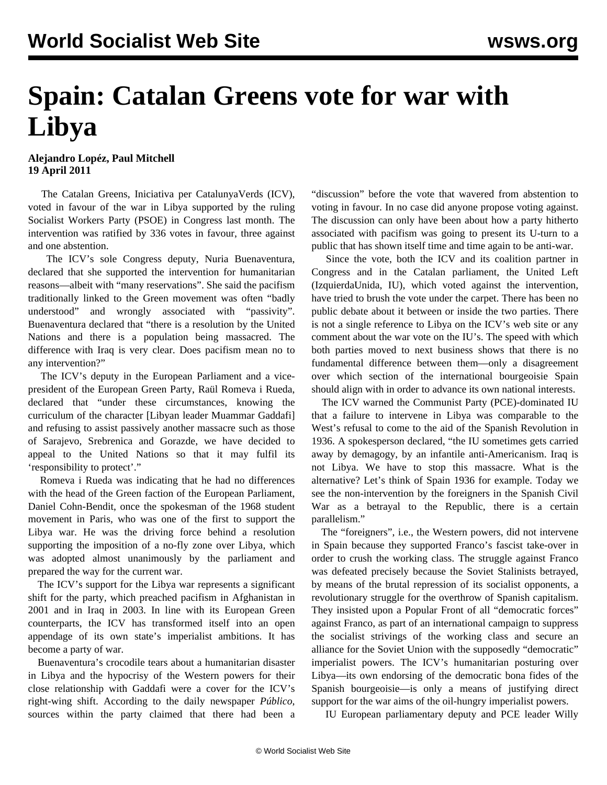## **Spain: Catalan Greens vote for war with Libya**

**Alejandro Lopéz, Paul Mitchell 19 April 2011**

 The Catalan Greens, Iniciativa per CatalunyaVerds (ICV), voted in favour of the war in Libya supported by the ruling Socialist Workers Party (PSOE) in Congress last month. The intervention was ratified by 336 votes in favour, three against and one abstention.

 The ICV's sole Congress deputy, Nuria Buenaventura, declared that she supported the intervention for humanitarian reasons—albeit with "many reservations". She said the pacifism traditionally linked to the Green movement was often "badly understood" and wrongly associated with "passivity". Buenaventura declared that "there is a resolution by the United Nations and there is a population being massacred. The difference with Iraq is very clear. Does pacifism mean no to any intervention?"

 The ICV's deputy in the European Parliament and a vicepresident of the European Green Party, Raül Romeva i Rueda, declared that "under these circumstances, knowing the curriculum of the character [Libyan leader Muammar Gaddafi] and refusing to assist passively another massacre such as those of Sarajevo, Srebrenica and Gorazde, we have decided to appeal to the United Nations so that it may fulfil its 'responsibility to protect'."

 Romeva i Rueda was indicating that he had no differences with the head of the Green faction of the European Parliament, Daniel Cohn-Bendit, once the spokesman of the 1968 student movement in Paris, who was one of the first to support the Libya war. He was the driving force behind a resolution supporting the imposition of a no-fly zone over Libya, which was adopted almost unanimously by the parliament and prepared the way for the current war.

 The ICV's support for the Libya war represents a significant shift for the party, which preached pacifism in Afghanistan in 2001 and in Iraq in 2003. In line with its European Green counterparts, the ICV has transformed itself into an open appendage of its own state's imperialist ambitions. It has become a party of war.

 Buenaventura's crocodile tears about a humanitarian disaster in Libya and the hypocrisy of the Western powers for their close relationship with Gaddafi were a cover for the ICV's right-wing shift. According to the daily newspaper *Público*, sources within the party claimed that there had been a "discussion" before the vote that wavered from abstention to voting in favour. In no case did anyone propose voting against. The discussion can only have been about how a party hitherto associated with pacifism was going to present its U-turn to a public that has shown itself time and time again to be anti-war.

 Since the vote, both the ICV and its coalition partner in Congress and in the Catalan parliament, the United Left (IzquierdaUnida, IU), which voted against the intervention, have tried to brush the vote under the carpet. There has been no public debate about it between or inside the two parties. There is not a single reference to Libya on the ICV's web site or any comment about the war vote on the IU's. The speed with which both parties moved to next business shows that there is no fundamental difference between them—only a disagreement over which section of the international bourgeoisie Spain should align with in order to advance its own national interests.

 The ICV warned the Communist Party (PCE)-dominated IU that a failure to intervene in Libya was comparable to the West's refusal to come to the aid of the Spanish Revolution in 1936. A spokesperson declared, "the IU sometimes gets carried away by demagogy, by an infantile anti-Americanism. Iraq is not Libya. We have to stop this massacre. What is the alternative? Let's think of Spain 1936 for example. Today we see the non-intervention by the foreigners in the Spanish Civil War as a betrayal to the Republic, there is a certain parallelism."

 The "foreigners", i.e., the Western powers, did not intervene in Spain because they supported Franco's fascist take-over in order to crush the working class. The struggle against Franco was defeated precisely because the Soviet Stalinists betrayed, by means of the brutal repression of its socialist opponents, a revolutionary struggle for the overthrow of Spanish capitalism. They insisted upon a Popular Front of all "democratic forces" against Franco, as part of an international campaign to suppress the socialist strivings of the working class and secure an alliance for the Soviet Union with the supposedly "democratic" imperialist powers. The ICV's humanitarian posturing over Libya—its own endorsing of the democratic bona fides of the Spanish bourgeoisie—is only a means of justifying direct support for the war aims of the oil-hungry imperialist powers.

IU European parliamentary deputy and PCE leader Willy